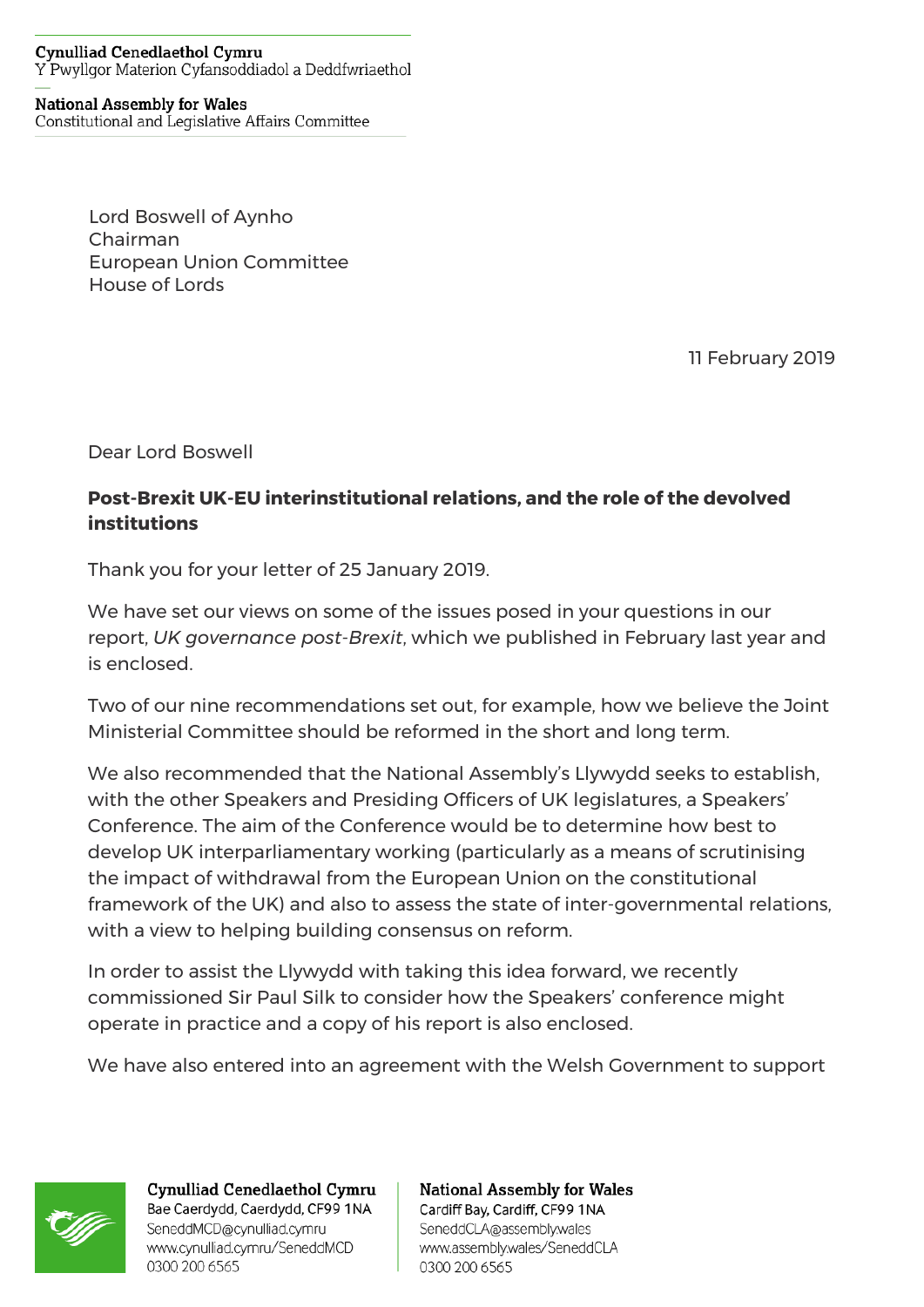## **Cynulliad Cenedlaethol Cymru** Y Pwyllgor Materion Cyfansoddiadol a Deddfwriaethol

## **National Assembly for Wales**

Constitutional and Legislative Affairs Committee

Lord Boswell of Aynho Chairman European Union Committee House of Lords

11 February 2019

Dear Lord Boswell

## **Post-Brexit UK-EU interinstitutional relations, and the role of the devolved institutions**

Thank you for your letter of 25 January 2019.

We have set our views on some of the issues posed in your questions in our report, *UK governance post-Brexit*, which we published in February last year and is enclosed.

Two of our nine recommendations set out, for example, how we believe the Joint Ministerial Committee should be reformed in the short and long term.

We also recommended that the National Assembly's Llywydd seeks to establish, with the other Speakers and Presiding Officers of UK legislatures, a Speakers' Conference. The aim of the Conference would be to determine how best to develop UK interparliamentary working (particularly as a means of scrutinising the impact of withdrawal from the European Union on the constitutional framework of the UK) and also to assess the state of inter-governmental relations, with a view to helping building consensus on reform.

In order to assist the Llywydd with taking this idea forward, we recently commissioned Sir Paul Silk to consider how the Speakers' conference might operate in practice and a copy of his report is also enclosed.

We have also entered into an agreement with the Welsh Government to support



Cynulliad Cenedlaethol Cymru Bae Caerdydd, Caerdydd, CF99 1NA SeneddMCD@cynulliad.cymru www.cynulliad.cymru/SeneddMCD 0300 200 6565

**National Assembly for Wales** Cardiff Bay, Cardiff, CF99 1NA SeneddCLA@assembly.wales www.assembly.wales/SeneddCLA 0300 200 6565